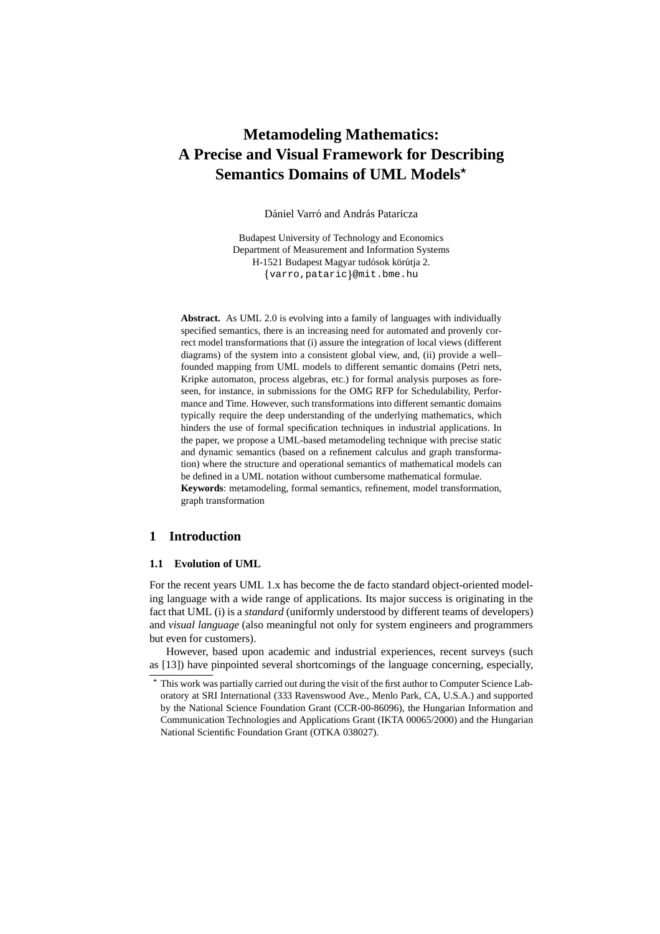# **Metamodeling Mathematics: A Precise and Visual Framework for Describing Semantics Domains of UML Models**

Dániel Varró and András Pataricza

Budapest University of Technology and Economics Department of Measurement and Information Systems H-1521 Budapest Magyar tudósok körútja 2. {varro,pataric}@mit.bme.hu

**Abstract.** As UML 2.0 is evolving into a family of languages with individually specified semantics, there is an increasing need for automated and provenly correct model transformations that (i) assure the integration of local views (different diagrams) of the system into a consistent global view, and, (ii) provide a well– founded mapping from UML models to different semantic domains (Petri nets, Kripke automaton, process algebras, etc.) for formal analysis purposes as foreseen, for instance, in submissions for the OMG RFP for Schedulability, Performance and Time. However, such transformations into different semantic domains typically require the deep understanding of the underlying mathematics, which hinders the use of formal specification techniques in industrial applications. In the paper, we propose a UML-based metamodeling technique with precise static and dynamic semantics (based on a refinement calculus and graph transformation) where the structure and operational semantics of mathematical models can be defined in a UML notation without cumbersome mathematical formulae. **Keywords**: metamodeling, formal semantics, refinement, model transformation, graph transformation

# **1 Introduction**

### **1.1 Evolution of UML**

For the recent years UML 1.x has become the de facto standard object-oriented modeling language with a wide range of applications. Its major success is originating in the fact that UML (i) is a *standard* (uniformly understood by different teams of developers) and *visual language* (also meaningful not only for system engineers and programmers but even for customers).

However, based upon academic and industrial experiences, recent surveys (such as [13]) have pinpointed several shortcomings of the language concerning, especially,

This work was partially carried out during the visit of the first author to Computer Science Laboratory at SRI International (333 Ravenswood Ave., Menlo Park, CA, U.S.A.) and supported by the National Science Foundation Grant (CCR-00-86096), the Hungarian Information and Communication Technologies and Applications Grant (IKTA 00065/2000) and the Hungarian National Scientific Foundation Grant (OTKA 038027).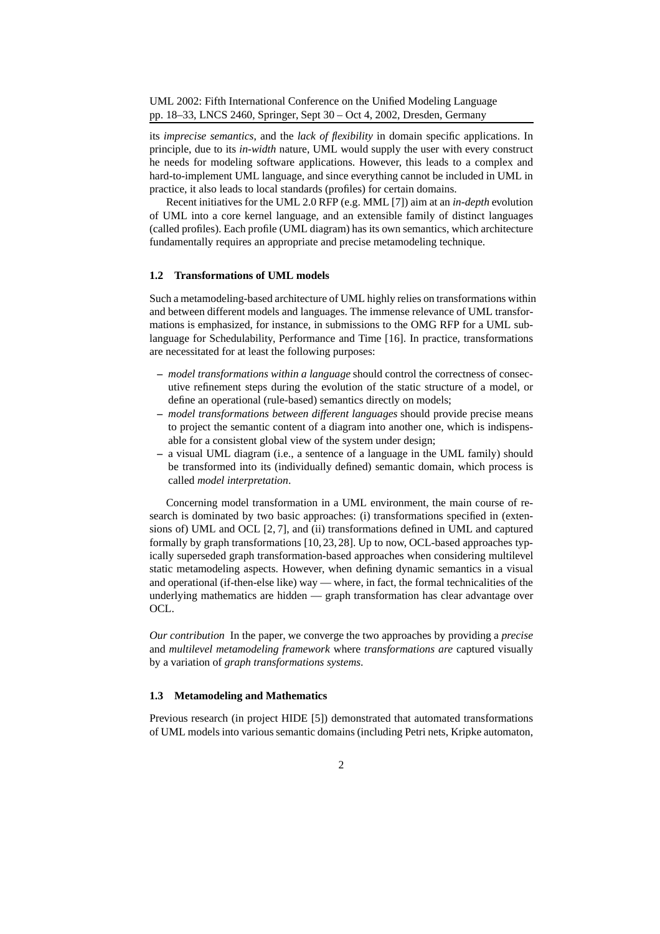its *imprecise semantics*, and the *lack of flexibility* in domain specific applications. In principle, due to its *in-width* nature, UML would supply the user with every construct he needs for modeling software applications. However, this leads to a complex and hard-to-implement UML language, and since everything cannot be included in UML in practice, it also leads to local standards (profiles) for certain domains.

Recent initiatives for the UML 2.0 RFP (e.g. MML [7]) aim at an *in-depth* evolution of UML into a core kernel language, and an extensible family of distinct languages (called profiles). Each profile (UML diagram) has its own semantics, which architecture fundamentally requires an appropriate and precise metamodeling technique.

## **1.2 Transformations of UML models**

Such a metamodeling-based architecture of UML highly relies on transformations within and between different models and languages. The immense relevance of UML transformations is emphasized, for instance, in submissions to the OMG RFP for a UML sublanguage for Schedulability, Performance and Time [16]. In practice, transformations are necessitated for at least the following purposes:

- **–** *model transformations within a language* should control the correctness of consecutive refinement steps during the evolution of the static structure of a model, or define an operational (rule-based) semantics directly on models;
- **–** *model transformations between different languages* should provide precise means to project the semantic content of a diagram into another one, which is indispensable for a consistent global view of the system under design;
- **–** a visual UML diagram (i.e., a sentence of a language in the UML family) should be transformed into its (individually defined) semantic domain, which process is called *model interpretation*.

Concerning model transformation in a UML environment, the main course of research is dominated by two basic approaches: (i) transformations specified in (extensions of) UML and OCL [2, 7], and (ii) transformations defined in UML and captured formally by graph transformations [10, 23, 28]. Up to now, OCL-based approaches typically superseded graph transformation-based approaches when considering multilevel static metamodeling aspects. However, when defining dynamic semantics in a visual and operational (if-then-else like) way — where, in fact, the formal technicalities of the underlying mathematics are hidden — graph transformation has clear advantage over OCL.

*Our contribution* In the paper, we converge the two approaches by providing a *precise* and *multilevel metamodeling framework* where *transformations are* captured visually by a variation of *graph transformations systems*.

#### **1.3 Metamodeling and Mathematics**

Previous research (in project HIDE [5]) demonstrated that automated transformations of UML models into various semantic domains (including Petri nets, Kripke automaton,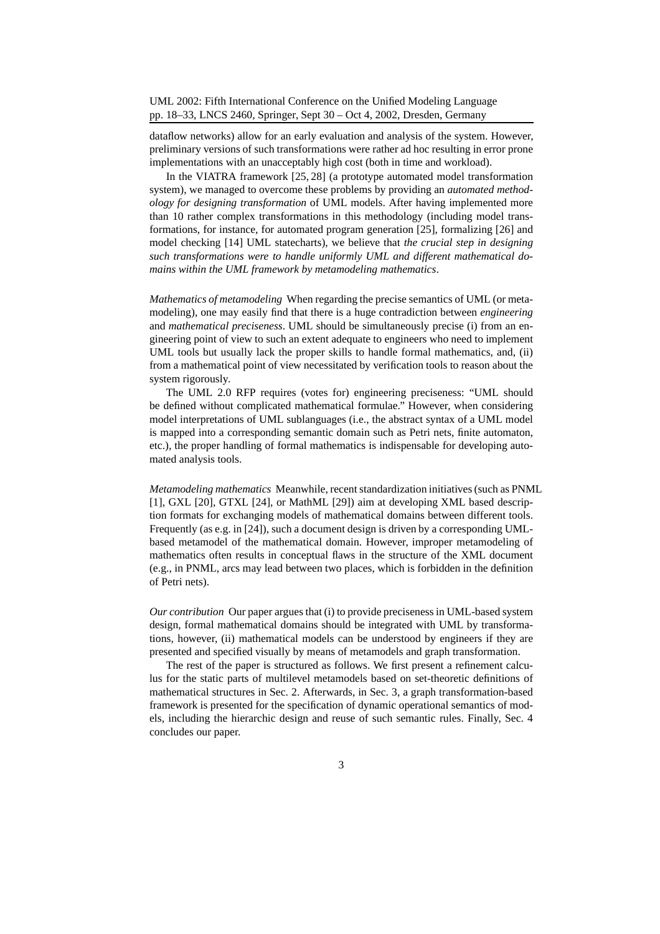dataflow networks) allow for an early evaluation and analysis of the system. However, preliminary versions of such transformations were rather ad hoc resulting in error prone implementations with an unacceptably high cost (both in time and workload).

In the VIATRA framework [25, 28] (a prototype automated model transformation system), we managed to overcome these problems by providing an *automated methodology for designing transformation* of UML models. After having implemented more than 10 rather complex transformations in this methodology (including model transformations, for instance, for automated program generation [25], formalizing [26] and model checking [14] UML statecharts), we believe that *the crucial step in designing such transformations were to handle uniformly UML and different mathematical domains within the UML framework by metamodeling mathematics*.

*Mathematics of metamodeling* When regarding the precise semantics of UML (or metamodeling), one may easily find that there is a huge contradiction between *engineering* and *mathematical preciseness*. UML should be simultaneously precise (i) from an engineering point of view to such an extent adequate to engineers who need to implement UML tools but usually lack the proper skills to handle formal mathematics, and, (ii) from a mathematical point of view necessitated by verification tools to reason about the system rigorously.

The UML 2.0 RFP requires (votes for) engineering preciseness: "UML should be defined without complicated mathematical formulae." However, when considering model interpretations of UML sublanguages (i.e., the abstract syntax of a UML model is mapped into a corresponding semantic domain such as Petri nets, finite automaton, etc.), the proper handling of formal mathematics is indispensable for developing automated analysis tools.

*Metamodeling mathematics* Meanwhile, recent standardization initiatives(such as PNML [1], GXL [20], GTXL [24], or MathML [29]) aim at developing XML based description formats for exchanging models of mathematical domains between different tools. Frequently (as e.g. in [24]), such a document design is driven by a corresponding UMLbased metamodel of the mathematical domain. However, improper metamodeling of mathematics often results in conceptual flaws in the structure of the XML document (e.g., in PNML, arcs may lead between two places, which is forbidden in the definition of Petri nets).

*Our contribution* Our paper argues that (i) to provide preciseness in UML-based system design, formal mathematical domains should be integrated with UML by transformations, however, (ii) mathematical models can be understood by engineers if they are presented and specified visually by means of metamodels and graph transformation.

The rest of the paper is structured as follows. We first present a refinement calculus for the static parts of multilevel metamodels based on set-theoretic definitions of mathematical structures in Sec. 2. Afterwards, in Sec. 3, a graph transformation-based framework is presented for the specification of dynamic operational semantics of models, including the hierarchic design and reuse of such semantic rules. Finally, Sec. 4 concludes our paper.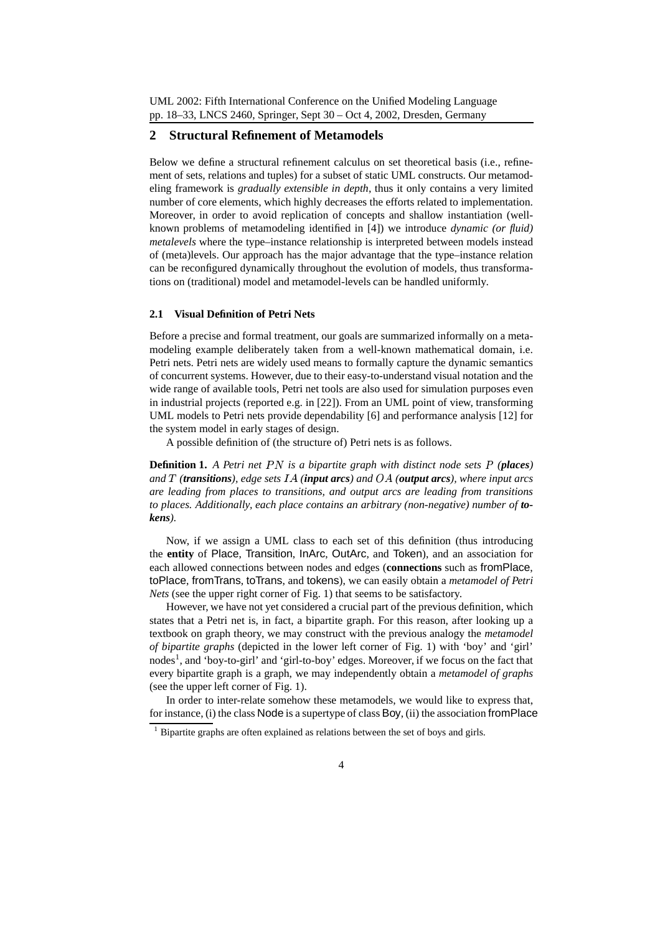## **2 Structural Refinement of Metamodels**

Below we define a structural refinement calculus on set theoretical basis (i.e., refinement of sets, relations and tuples) for a subset of static UML constructs. Our metamodeling framework is *gradually extensible in depth*, thus it only contains a very limited number of core elements, which highly decreases the efforts related to implementation. Moreover, in order to avoid replication of concepts and shallow instantiation (wellknown problems of metamodeling identified in [4]) we introduce *dynamic (or fluid) metalevels* where the type–instance relationship is interpreted between models instead of (meta)levels. Our approach has the major advantage that the type–instance relation can be reconfigured dynamically throughout the evolution of models, thus transformations on (traditional) model and metamodel-levels can be handled uniformly.

#### **2.1 Visual Definition of Petri Nets**

Before a precise and formal treatment, our goals are summarized informally on a metamodeling example deliberately taken from a well-known mathematical domain, i.e. Petri nets. Petri nets are widely used means to formally capture the dynamic semantics of concurrent systems. However, due to their easy-to-understand visual notation and the wide range of available tools, Petri net tools are also used for simulation purposes even in industrial projects (reported e.g. in [22]). From an UML point of view, transforming UML models to Petri nets provide dependability [6] and performance analysis [12] for the system model in early stages of design.

A possible definition of (the structure of) Petri nets is as follows.

**Definition 1.** *A Petri net is a bipartite graph with distinct node sets (places) and (transitions), edge sets (input arcs) and (output arcs), where input arcs are leading from places to transitions, and output arcs are leading from transitions to places. Additionally, each place contains an arbitrary (non-negative) number of tokens).*

Now, if we assign a UML class to each set of this definition (thus introducing the **entity** of Place, Transition, InArc, OutArc, and Token), and an association for each allowed connections between nodes and edges (**connections** such as fromPlace, toPlace, fromTrans, toTrans, and tokens), we can easily obtain a *metamodel of Petri Nets* (see the upper right corner of Fig. 1) that seems to be satisfactory.

However, we have not yet considered a crucial part of the previous definition, which states that a Petri net is, in fact, a bipartite graph. For this reason, after looking up a textbook on graph theory, we may construct with the previous analogy the *metamodel of bipartite graphs* (depicted in the lower left corner of Fig. 1) with 'boy' and 'girl' nodes<sup>1</sup>, and 'boy-to-girl' and 'girl-to-boy' edges. Moreover, if we focus on the fact that every bipartite graph is a graph, we may independently obtain a *metamodel of graphs* (see the upper left corner of Fig. 1).

In order to inter-relate somehow these metamodels, we would like to express that, for instance, (i) the class Node is a supertype of class Boy, (ii) the association fromPlace

<sup>&</sup>lt;sup>1</sup> Bipartite graphs are often explained as relations between the set of boys and girls.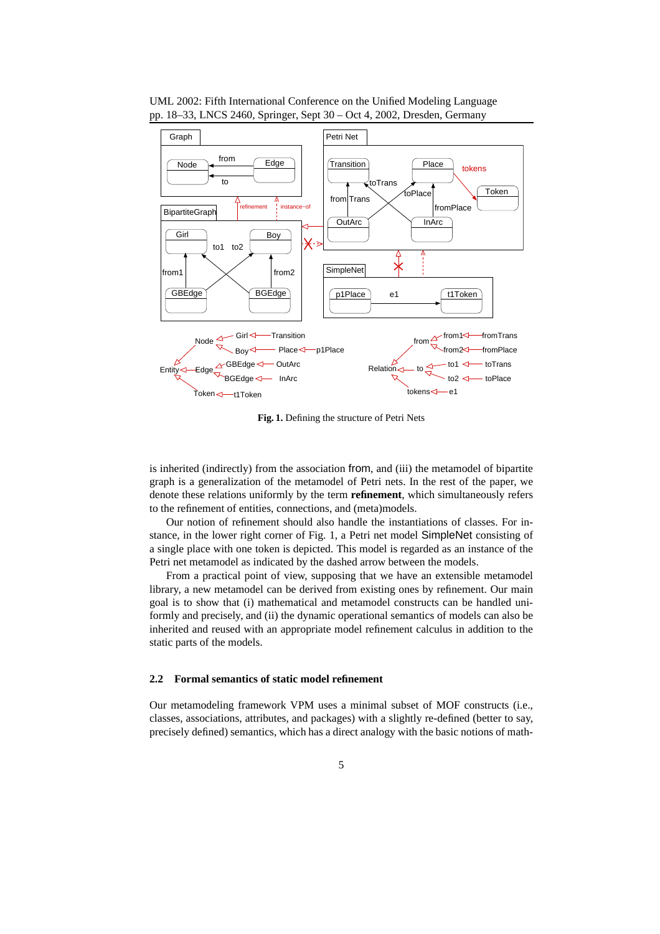

UML 2002: Fifth International Conference on the Unified Modeling Language pp. 18–33, LNCS 2460, Springer, Sept 30 – Oct 4, 2002, Dresden, Germany

**Fig. 1.** Defining the structure of Petri Nets

is inherited (indirectly) from the association from, and (iii) the metamodel of bipartite graph is a generalization of the metamodel of Petri nets. In the rest of the paper, we denote these relations uniformly by the term **refinement**, which simultaneously refers to the refinement of entities, connections, and (meta)models.

Our notion of refinement should also handle the instantiations of classes. For instance, in the lower right corner of Fig. 1, a Petri net model SimpleNet consisting of a single place with one token is depicted. This model is regarded as an instance of the Petri net metamodel as indicated by the dashed arrow between the models.

From a practical point of view, supposing that we have an extensible metamodel library, a new metamodel can be derived from existing ones by refinement. Our main goal is to show that (i) mathematical and metamodel constructs can be handled uniformly and precisely, and (ii) the dynamic operational semantics of models can also be inherited and reused with an appropriate model refinement calculus in addition to the static parts of the models.

## **2.2 Formal semantics of static model refinement**

Our metamodeling framework VPM uses a minimal subset of MOF constructs (i.e., classes, associations, attributes, and packages) with a slightly re-defined (better to say, precisely defined) semantics, which has a direct analogy with the basic notions of math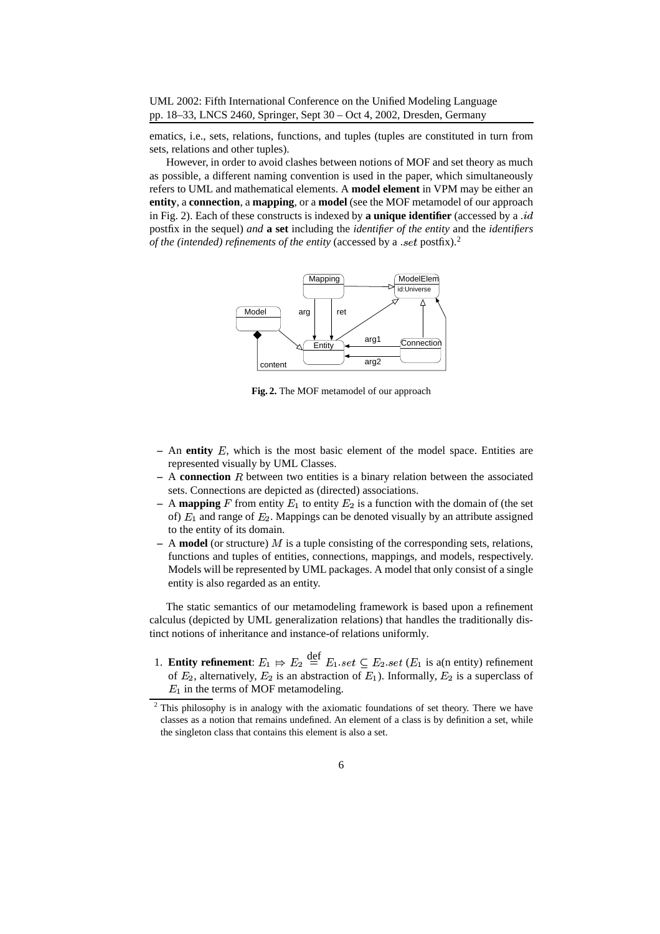ematics, i.e., sets, relations, functions, and tuples (tuples are constituted in turn from sets, relations and other tuples).

However, in order to avoid clashes between notions of MOF and set theory as much as possible, a different naming convention is used in the paper, which simultaneously refers to UML and mathematical elements. A **model element** in VPM may be either an **entity**, a **connection**, a **mapping**, or a **model** (see the MOF metamodel of our approach in Fig. 2). Each of these constructs is indexed by **a unique identifier** (accessed by a postfix in the sequel) *and* **a set** including the *identifier of the entity* and the *identifiers of the (intended) refinements of the entity (accessed by a .set postfix).*<sup>2</sup>



**Fig. 2.** The MOF metamodel of our approach

- $-$  An **entity**  $E$ , which is the most basic element of the model space. Entities are represented visually by UML Classes.
- $-$  A **connection**  $R$  between two entities is a binary relation between the associated sets. Connections are depicted as (directed) associations.
- $-$  A **mapping** F from entity  $E_1$  to entity  $E_2$  is a function with the domain of (the set of)  $E_1$  and range of  $E_2$ . Mappings can be denoted visually by an attribute assigned to the entity of its domain.
- $-$  A **model** (or structure) M is a tuple consisting of the corresponding sets, relations, functions and tuples of entities, connections, mappings, and models, respectively. Models will be represented by UML packages. A model that only consist of a single entity is also regarded as an entity.

The static semantics of our metamodeling framework is based upon a refinement calculus (depicted by UML generalization relations) that handles the traditionally distinct notions of inheritance and instance-of relations uniformly.

1. **Entity refinement**:  $E_1 \Rightarrow E_2 \stackrel{\text{def}}{=} E_1 \text{.} set \subseteq E_2 \text{.} set (E_1 \text{ is a(n entity) refinement})$ of  $E_2$ , alternatively,  $E_2$  is an abstraction of  $E_1$ ). Informally,  $E_2$  is a superclass of  $E_1$  in the terms of MOF metamodeling.

 $2$  This philosophy is in analogy with the axiomatic foundations of set theory. There we have classes as a notion that remains undefined. An element of a class is by definition a set, while the singleton class that contains this element is also a set.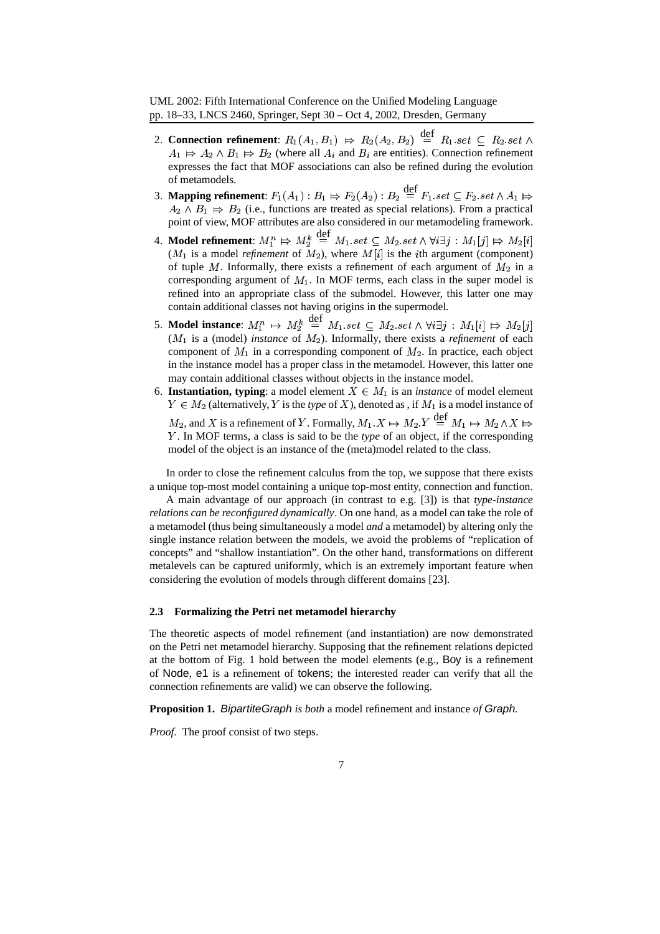- 2. **Connection refinement**:  $R_1(A_1, B_1) \Rightarrow R_2(A_2, B_2) \stackrel{\text{def}}{=} R_1.set \subseteq R_2.set \land$  $A_1 \Leftrightarrow A_2 \wedge B_1 \Leftrightarrow B_2$  (where all  $A_i$  and  $B_i$  are entities). Connection refinement expresses the fact that MOF associations can also be refined during the evolution of metamodels.
- 3. **Mapping refinement**:  $F_1(A_1)$ :  $B_1 \Rightarrow F_2(A_2)$ :  $B_2 \stackrel{\text{def}}{=} F_1.set \subseteq F_2.set \land A_1 \Rightarrow$  $A_2 \wedge B_1 \Rightarrow B_2$  (i.e., functions are treated as special relations). From a practical point of view, MOF attributes are also considered in our metamodeling framework.
- 4. Model refinement:  $M_1^n \Leftrightarrow M_2^k \stackrel{{\mathrm {\footnotesize def}}}{=} M_1.set \subseteq M_2.set \land \forall i \exists j: M_1[j] \mapsto M_2[i]$  $(M_1$  is a model *refinement* of  $M_2$ ), where  $M[i]$  is the *i*th argument (component) of tuple  $M$ . Informally, there exists a refinement of each argument of  $M_2$  in a corresponding argument of  $M_1$ . In MOF terms, each class in the super model is refined into an appropriate class of the submodel. However, this latter one may contain additional classes not having origins in the supermodel.
- 5. **Model instance**:  $M_1^n \mapsto M_2^k \stackrel{\text{def}}{=} M_1.set \subseteq M_2.set \wedge \forall i \exists j : M_1[i] \mapsto M_2[j]$  $(M_1$  is a (model) *instance* of  $M_2$ ). Informally, there exists a *refinement* of each component of  $M_1$  in a corresponding component of  $M_2$ . In practice, each object in the instance model has a proper class in the metamodel. However, this latter one may contain additional classes without objects in the instance model.
- 6. **Instantiation, typing**: a model element  $X \in M_1$  is an *instance* of model element  $Y \in M_2$  (alternatively, Y is the *type* of X), denoted as , if  $M_1$  is a model instance of  $M_2$ , and X is a refinement of Y. Formally,  $M_1.X \mapsto M_2.Y \stackrel{\text{def}}{=} M_1 \mapsto M_2 \wedge X \mapsto$ Y. In MOF terms, a class is said to be the *type* of an object, if the corresponding model of the object is an instance of the (meta)model related to the class.

In order to close the refinement calculus from the top, we suppose that there exists a unique top-most model containing a unique top-most entity, connection and function.

A main advantage of our approach (in contrast to e.g. [3]) is that *type-instance relations can be reconfigured dynamically*. On one hand, as a model can take the role of a metamodel (thus being simultaneously a model *and* a metamodel) by altering only the single instance relation between the models, we avoid the problems of "replication of concepts" and "shallow instantiation". On the other hand, transformations on different metalevels can be captured uniformly, which is an extremely important feature when considering the evolution of models through different domains [23].

#### **2.3 Formalizing the Petri net metamodel hierarchy**

The theoretic aspects of model refinement (and instantiation) are now demonstrated on the Petri net metamodel hierarchy. Supposing that the refinement relations depicted at the bottom of Fig. 1 hold between the model elements (e.g., Boy is a refinement of Node, e1 is a refinement of tokens; the interested reader can verify that all the connection refinements are valid) we can observe the following.

**Proposition 1.** BipartiteGraph *is both* a model refinement and instance *of* Graph*.*

*Proof.* The proof consist of two steps.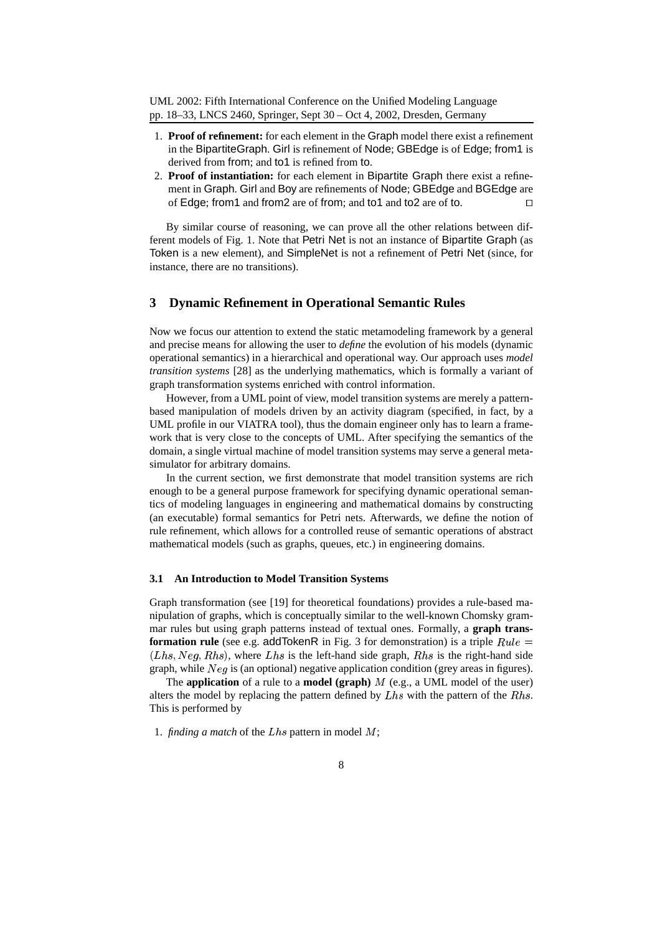- 1. **Proof of refinement:** for each element in the Graph model there exist a refinement in the BipartiteGraph. Girl is refinement of Node; GBEdge is of Edge; from1 is derived from from; and to1 is refined from to.
- 2. **Proof of instantiation:** for each element in Bipartite Graph there exist a refinement in Graph. Girl and Boy are refinements of Node; GBEdge and BGEdge are of Edge; from 1 and from 2 are of from; and to 1 and to 2 are of to.  $\Box$

By similar course of reasoning, we can prove all the other relations between different models of Fig. 1. Note that Petri Net is not an instance of Bipartite Graph (as Token is a new element), and SimpleNet is not a refinement of Petri Net (since, for instance, there are no transitions).

# **3 Dynamic Refinement in Operational Semantic Rules**

Now we focus our attention to extend the static metamodeling framework by a general and precise means for allowing the user to *define* the evolution of his models (dynamic operational semantics) in a hierarchical and operational way. Our approach uses *model transition systems* [28] as the underlying mathematics, which is formally a variant of graph transformation systems enriched with control information.

However, from a UML point of view, model transition systems are merely a patternbased manipulation of models driven by an activity diagram (specified, in fact, by a UML profile in our VIATRA tool), thus the domain engineer only has to learn a framework that is very close to the concepts of UML. After specifying the semantics of the domain, a single virtual machine of model transition systems may serve a general metasimulator for arbitrary domains.

In the current section, we first demonstrate that model transition systems are rich enough to be a general purpose framework for specifying dynamic operational semantics of modeling languages in engineering and mathematical domains by constructing (an executable) formal semantics for Petri nets. Afterwards, we define the notion of rule refinement, which allows for a controlled reuse of semantic operations of abstract mathematical models (such as graphs, queues, etc.) in engineering domains.

#### **3.1 An Introduction to Model Transition Systems**

Graph transformation (see [19] for theoretical foundations) provides a rule-based manipulation of graphs, which is conceptually similar to the well-known Chomsky grammar rules but using graph patterns instead of textual ones. Formally, a **graph transformation rule** (see e.g. addTokenR in Fig. 3 for demonstration) is a triple  $Rule =$  $(Lhs, Neg, Rhs)$ , where  $Lhs$  is the left-hand side graph,  $Rhs$  is the right-hand side graph, while  $Neg$  is (an optional) negative application condition (grey areas in figures).

The **application** of a rule to a **model**  $(\text{graph})$   $M$   $(e.g., a UML \text{ model of the user})$ alters the model by replacing the pattern defined by  $Lhs$  with the pattern of the  $Rhs$ . This is performed by

1. *finding a match* of the  $Lhs$  pattern in model  $M$ ;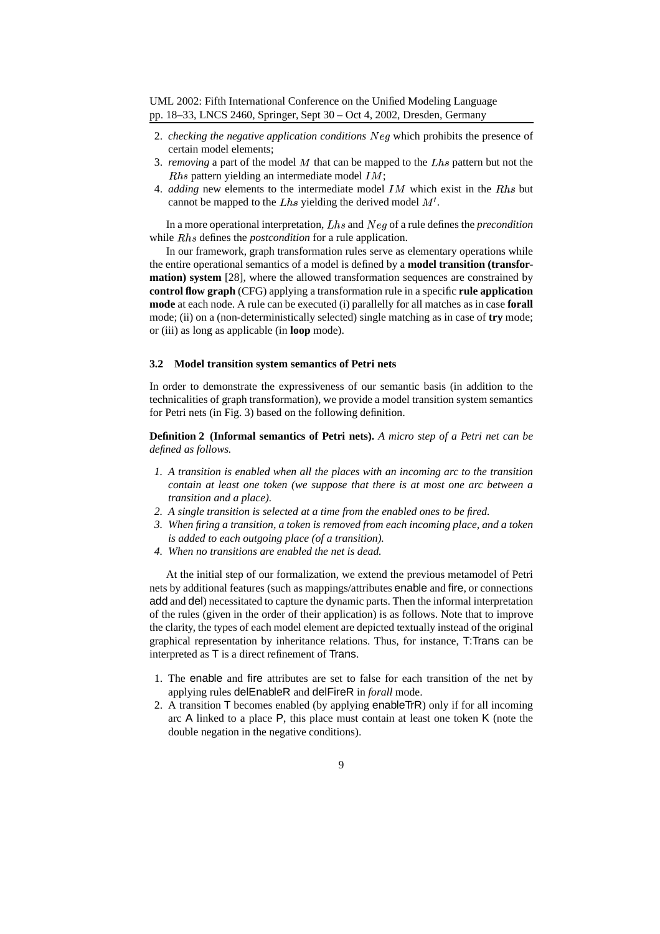- 2. *checking the negative application conditions* Neg which prohibits the presence of certain model elements;
- 3. *removing* a part of the model  $M$  that can be mapped to the  $L$ hs pattern but not the  $Rhs$  pattern yielding an intermediate model  $IM;$
- 4. *adding* new elements to the intermediate model IM which exist in the Rhs but cannot be mapped to the  $Lhs$  yielding the derived model  $M'$ .

In a more operational interpretation,  $Lhs$  and  $Neq$  of a rule defines the *precondition* while *Rhs* defines the *postcondition* for a rule application.

In our framework, graph transformation rules serve as elementary operations while the entire operational semantics of a model is defined by a **model transition (transformation) system** [28], where the allowed transformation sequences are constrained by **control flow graph** (CFG) applying a transformation rule in a specific **rule application mode** at each node. A rule can be executed (i) parallelly for all matches as in case **forall** mode; (ii) on a (non-deterministically selected) single matching as in case of **try** mode; or (iii) as long as applicable (in **loop** mode).

#### **3.2 Model transition system semantics of Petri nets**

In order to demonstrate the expressiveness of our semantic basis (in addition to the technicalities of graph transformation), we provide a model transition system semantics for Petri nets (in Fig. 3) based on the following definition.

**Definition 2 (Informal semantics of Petri nets).** *A micro step of a Petri net can be defined as follows.*

- *1. A transition is enabled when all the places with an incoming arc to the transition contain at least one token (we suppose that there is at most one arc between a transition and a place).*
- *2. A single transition is selected at a time from the enabled ones to be fired.*
- *3. When firing a transition, a token is removed from each incoming place, and a token is added to each outgoing place (of a transition).*
- *4. When no transitions are enabled the net is dead.*

At the initial step of our formalization, we extend the previous metamodel of Petri nets by additional features (such as mappings/attributes enable and fire, or connections add and del) necessitated to capture the dynamic parts. Then the informal interpretation of the rules (given in the order of their application) is as follows. Note that to improve the clarity, the types of each model element are depicted textually instead of the original graphical representation by inheritance relations. Thus, for instance, T:Trans can be interpreted as T is a direct refinement of Trans.

- 1. The enable and fire attributes are set to false for each transition of the net by applying rules delEnableR and delFireR in *forall* mode.
- 2. A transition T becomes enabled (by applying enableTrR) only if for all incoming arc A linked to a place P, this place must contain at least one token K (note the double negation in the negative conditions).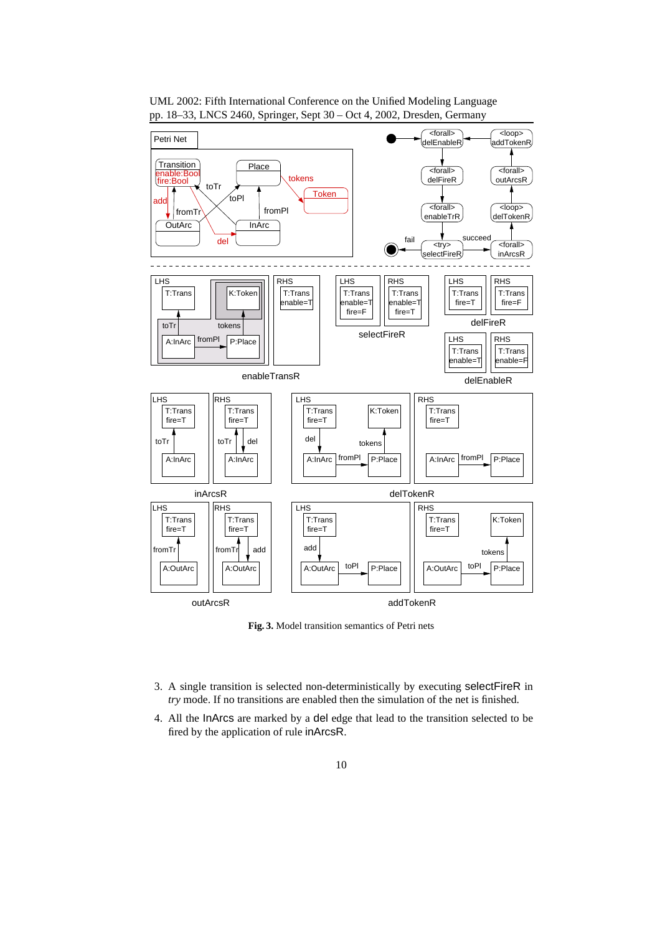

UML 2002: Fifth International Conference on the Unified Modeling Language pp. 18–33, LNCS 2460, Springer, Sept 30 – Oct 4, 2002, Dresden, Germany

**Fig. 3.** Model transition semantics of Petri nets

- 3. A single transition is selected non-deterministically by executing selectFireR in *try* mode. If no transitions are enabled then the simulation of the net is finished.
- 4. All the InArcs are marked by a del edge that lead to the transition selected to be fired by the application of rule inArcsR.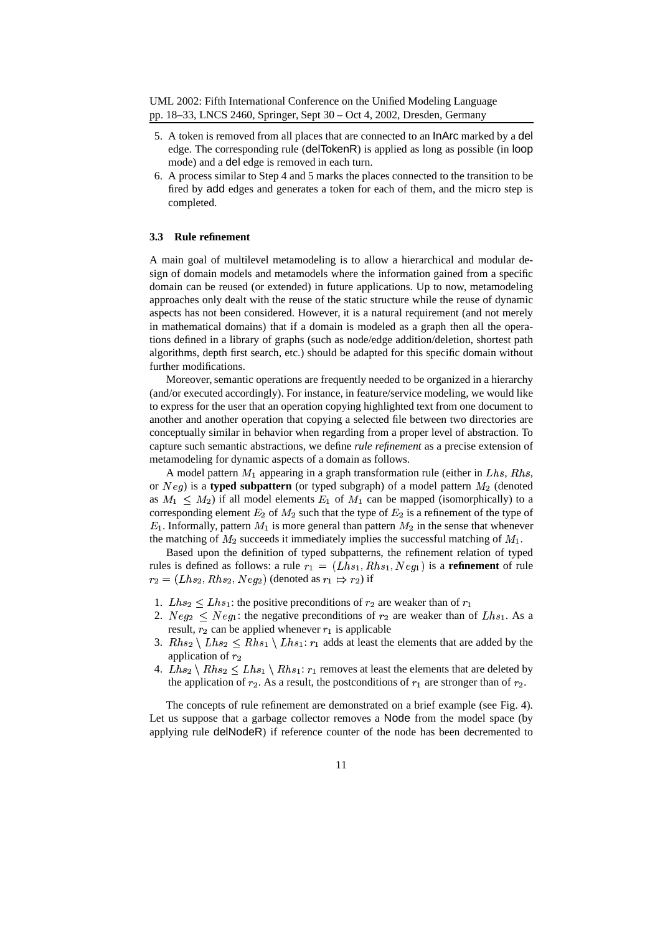- 5. A token is removed from all places that are connected to an InArc marked by a del edge. The corresponding rule (delTokenR) is applied as long as possible (in loop mode) and a del edge is removed in each turn.
- 6. A process similar to Step 4 and 5 marks the places connected to the transition to be fired by add edges and generates a token for each of them, and the micro step is completed.

## **3.3 Rule refinement**

A main goal of multilevel metamodeling is to allow a hierarchical and modular design of domain models and metamodels where the information gained from a specific domain can be reused (or extended) in future applications. Up to now, metamodeling approaches only dealt with the reuse of the static structure while the reuse of dynamic aspects has not been considered. However, it is a natural requirement (and not merely in mathematical domains) that if a domain is modeled as a graph then all the operations defined in a library of graphs (such as node/edge addition/deletion, shortest path algorithms, depth first search, etc.) should be adapted for this specific domain without further modifications.

Moreover, semantic operations are frequently needed to be organized in a hierarchy (and/or executed accordingly). For instance, in feature/service modeling, we would like to express for the user that an operation copying highlighted text from one document to another and another operation that copying a selected file between two directories are conceptually similar in behavior when regarding from a proper level of abstraction. To capture such semantic abstractions, we define *rule refinement* as a precise extension of metamodeling for dynamic aspects of a domain as follows.

A model pattern  $M_1$  appearing in a graph transformation rule (either in Lhs, Rhs, or  $Neg$ ) is a **typed subpattern** (or typed subgraph) of a model pattern  $M_2$  (denoted as  $M_1 \nleq M_2$ ) if all model elements  $E_1$  of  $M_1$  can be mapped (isomorphically) to a corresponding element  $E_2$  of  $M_2$  such that the type of  $E_2$  is a refinement of the type of  $E_1$ . Informally, pattern  $M_1$  is more general than pattern  $M_2$  in the sense that whenever the matching of  $M_2$  succeeds it immediately implies the successful matching of  $M_1$ .

Based upon the definition of typed subpatterns, the refinement relation of typed rules is defined as follows: a rule  $r_1 = (Lhs_1, Rhs_1, Neg_1)$  is a **refinement** of rule  $r_2 = (Lhs_2, Rhs_2, Neg_2)$  (denoted as  $r_1 \Rightarrow r_2$ ) if

- 1.  $Lhs_2 \leq Lhs_1$ : the positive preconditions of  $r_2$  are weaker than of  $r_1$
- 2.  $Neg_2 \leq Neg_1$ : the negative preconditions of  $r_2$  are weaker than of  $Lhs_1$ . As a result,  $r_2$  can be applied whenever  $r_1$  is applicable
- 3.  $Rhs_2 \setminus Lhs_2 \leq Rhs_1 \setminus Lhs_1$ :  $r_1$  adds at least the elements that are added by the application of  $r_2$
- 4.  $Lhs_2 \setminus Rhs_2 \leq Lhs_1 \setminus Rhs_1$ :  $r_1$  removes at least the elements that are deleted by the application of  $r_2$ . As a result, the postconditions of  $r_1$  are stronger than of  $r_2$ .

The concepts of rule refinement are demonstrated on a brief example (see Fig. 4). Let us suppose that a garbage collector removes a Node from the model space (by applying rule delNodeR) if reference counter of the node has been decremented to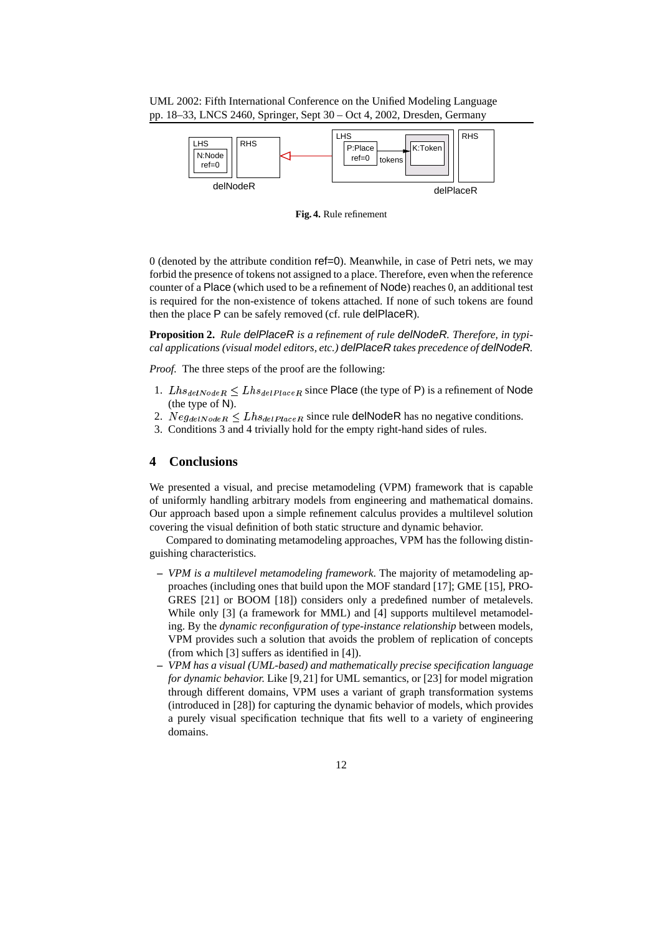

**Fig. 4.** Rule refinement

0 (denoted by the attribute condition ref=0). Meanwhile, in case of Petri nets, we may forbid the presence of tokens not assigned to a place. Therefore, even when the reference counter of a Place (which used to be a refinement of Node) reaches 0, an additional test is required for the non-existence of tokens attached. If none of such tokens are found then the place P can be safely removed (cf. rule delPlaceR).

**Proposition 2.** *Rule* delPlaceR *is a refinement of rule* delNodeR*. Therefore, in typical applications (visual model editors, etc.)* delPlaceR *takes precedence of* delNodeR*.*

*Proof.* The three steps of the proof are the following:

- 1.  $Lhs_{delNodeR} \leq Lhs_{delPlaceR}$  since Place (the type of P) is a refinement of Node (the type of N).
- 2.  $Neg_{delNodeR} \leq Lhs_{delPlaceR}$  since rule delNodeR has no negative conditions.
- 3. Conditions 3 and 4 trivially hold for the empty right-hand sides of rules.

# **4 Conclusions**

We presented a visual, and precise metamodeling (VPM) framework that is capable of uniformly handling arbitrary models from engineering and mathematical domains. Our approach based upon a simple refinement calculus provides a multilevel solution covering the visual definition of both static structure and dynamic behavior.

Compared to dominating metamodeling approaches, VPM has the following distinguishing characteristics.

- **–** *VPM is a multilevel metamodeling framework*. The majority of metamodeling approaches (including ones that build upon the MOF standard [17]; GME [15], PRO-GRES [21] or BOOM [18]) considers only a predefined number of metalevels. While only [3] (a framework for MML) and [4] supports multilevel metamodeling. By the *dynamic reconfiguration of type-instance relationship* between models, VPM provides such a solution that avoids the problem of replication of concepts (from which [3] suffers as identified in [4]).
- **–** *VPM has a visual (UML-based) and mathematically precise specification language for dynamic behavior.* Like [9,21] for UML semantics, or [23] for model migration through different domains, VPM uses a variant of graph transformation systems (introduced in [28]) for capturing the dynamic behavior of models, which provides a purely visual specification technique that fits well to a variety of engineering domains.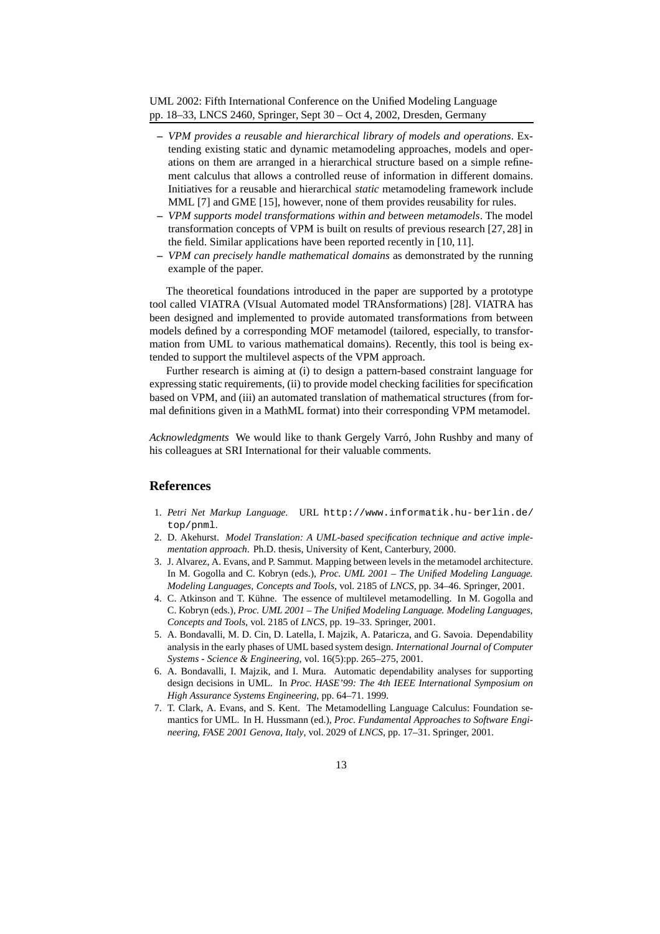- **–** *VPM provides a reusable and hierarchical library of models and operations*. Extending existing static and dynamic metamodeling approaches, models and operations on them are arranged in a hierarchical structure based on a simple refinement calculus that allows a controlled reuse of information in different domains. Initiatives for a reusable and hierarchical *static* metamodeling framework include MML [7] and GME [15], however, none of them provides reusability for rules.
- **–** *VPM supports model transformations within and between metamodels*. The model transformation concepts of VPM is built on results of previous research [27, 28] in the field. Similar applications have been reported recently in [10, 11].
- **–** *VPM can precisely handle mathematical domains* as demonstrated by the running example of the paper.

The theoretical foundations introduced in the paper are supported by a prototype tool called VIATRA (VIsual Automated model TRAnsformations) [28]. VIATRA has been designed and implemented to provide automated transformations from between models defined by a corresponding MOF metamodel (tailored, especially, to transformation from UML to various mathematical domains). Recently, this tool is being extended to support the multilevel aspects of the VPM approach.

Further research is aiming at (i) to design a pattern-based constraint language for expressing static requirements, (ii) to provide model checking facilities for specification based on VPM, and (iii) an automated translation of mathematical structures (from formal definitions given in a MathML format) into their corresponding VPM metamodel.

*Acknowledgments* We would like to thank Gergely Varró, John Rushby and many of his colleagues at SRI International for their valuable comments.

# **References**

- 1. *Petri Net Markup Language*. URL http://www.informatik.hu-berlin.de/ top/pnml.
- 2. D. Akehurst. *Model Translation: A UML-based specification technique and active implementation approach*. Ph.D. thesis, University of Kent, Canterbury, 2000.
- 3. J. Alvarez, A. Evans, and P. Sammut. Mapping between levels in the metamodel architecture. In M. Gogolla and C. Kobryn (eds.), *Proc. UML 2001 – The Unified Modeling Language. Modeling Languages, Concepts and Tools*, vol. 2185 of *LNCS*, pp. 34–46. Springer, 2001.
- 4. C. Atkinson and T. Kühne. The essence of multilevel metamodelling. In M. Gogolla and C. Kobryn (eds.), *Proc. UML 2001 – The Unified Modeling Language. Modeling Languages, Concepts and Tools*, vol. 2185 of *LNCS*, pp. 19–33. Springer, 2001.
- 5. A. Bondavalli, M. D. Cin, D. Latella, I. Majzik, A. Pataricza, and G. Savoia. Dependability analysis in the early phases of UML based system design. *International Journal of Computer Systems - Science & Engineering*, vol. 16(5):pp. 265–275, 2001.
- 6. A. Bondavalli, I. Majzik, and I. Mura. Automatic dependability analyses for supporting design decisions in UML. In *Proc. HASE'99: The 4th IEEE International Symposium on High Assurance Systems Engineering*, pp. 64–71. 1999.
- 7. T. Clark, A. Evans, and S. Kent. The Metamodelling Language Calculus: Foundation semantics for UML. In H. Hussmann (ed.), *Proc. Fundamental Approaches to Software Engineering, FASE 2001 Genova, Italy*, vol. 2029 of *LNCS*, pp. 17–31. Springer, 2001.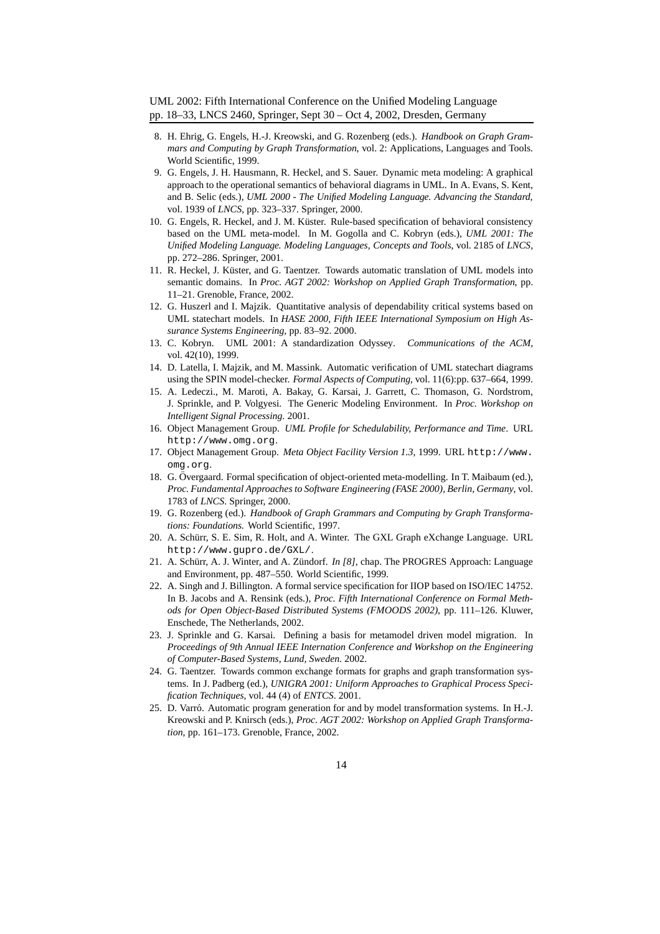- 8. H. Ehrig, G. Engels, H.-J. Kreowski, and G. Rozenberg (eds.). *Handbook on Graph Grammars and Computing by Graph Transformation*, vol. 2: Applications, Languages and Tools. World Scientific, 1999.
- 9. G. Engels, J. H. Hausmann, R. Heckel, and S. Sauer. Dynamic meta modeling: A graphical approach to the operational semantics of behavioral diagrams in UML. In A. Evans, S. Kent, and B. Selic (eds.), *UML 2000 - The Unified Modeling Language. Advancing the Standard*, vol. 1939 of *LNCS*, pp. 323–337. Springer, 2000.
- 10. G. Engels, R. Heckel, and J. M. Küster. Rule-based specification of behavioral consistency based on the UML meta-model. In M. Gogolla and C. Kobryn (eds.), *UML 2001: The Unified Modeling Language. Modeling Languages, Concepts and Tools*, vol. 2185 of *LNCS*, pp. 272–286. Springer, 2001.
- 11. R. Heckel, J. Küster, and G. Taentzer. Towards automatic translation of UML models into semantic domains. In *Proc. AGT 2002: Workshop on Applied Graph Transformation*, pp. 11–21. Grenoble, France, 2002.
- 12. G. Huszerl and I. Majzik. Quantitative analysis of dependability critical systems based on UML statechart models. In *HASE 2000, Fifth IEEE International Symposium on High Assurance Systems Engineering*, pp. 83–92. 2000.
- 13. C. Kobryn. UML 2001: A standardization Odyssey. *Communications of the ACM*, vol. 42(10), 1999.
- 14. D. Latella, I. Majzik, and M. Massink. Automatic verification of UML statechart diagrams using the SPIN model-checker. *Formal Aspects of Computing*, vol. 11(6):pp. 637–664, 1999.
- 15. A. Ledeczi., M. Maroti, A. Bakay, G. Karsai, J. Garrett, C. Thomason, G. Nordstrom, J. Sprinkle, and P. Volgyesi. The Generic Modeling Environment. In *Proc. Workshop on Intelligent Signal Processing*. 2001.
- 16. Object Management Group. *UML Profile for Schedulability, Performance and Time*. URL http://www.omg.org.
- 17. Object Management Group. *Meta Object Facility Version 1.3*, 1999. URL http://www. omg.org.
- 18. G. Övergaard. Formal specification of object-oriented meta-modelling. In T. Maibaum (ed.), *Proc. Fundamental Approaches to Software Engineering (FASE 2000), Berlin, Germany*, vol. 1783 of *LNCS*. Springer, 2000.
- 19. G. Rozenberg (ed.). *Handbook of Graph Grammars and Computing by Graph Transformations: Foundations*. World Scientific, 1997.
- 20. A. Schürr, S. E. Sim, R. Holt, and A. Winter. The GXL Graph eXchange Language. URL http://www.gupro.de/GXL/.
- 21. A. Schürr, A. J. Winter, and A. Zündorf. *In [8]*, chap. The PROGRES Approach: Language and Environment, pp. 487–550. World Scientific, 1999.
- 22. A. Singh and J. Billington. A formal service specification for IIOP based on ISO/IEC 14752. In B. Jacobs and A. Rensink (eds.), *Proc. Fifth International Conference on Formal Methods for Open Object-Based Distributed Systems (FMOODS 2002)*, pp. 111–126. Kluwer, Enschede, The Netherlands, 2002.
- 23. J. Sprinkle and G. Karsai. Defining a basis for metamodel driven model migration. In *Proceedings of 9th Annual IEEE Internation Conference and Workshop on the Engineering of Computer-Based Systems, Lund, Sweden*. 2002.
- 24. G. Taentzer. Towards common exchange formats for graphs and graph transformation systems. In J. Padberg (ed.), *UNIGRA 2001: Uniform Approaches to Graphical Process Specification Techniques*, vol. 44 (4) of *ENTCS*. 2001.
- 25. D. Varró. Automatic program generation for and by model transformation systems. In H.-J. Kreowski and P. Knirsch (eds.), *Proc. AGT 2002: Workshop on Applied Graph Transformation*, pp. 161–173. Grenoble, France, 2002.